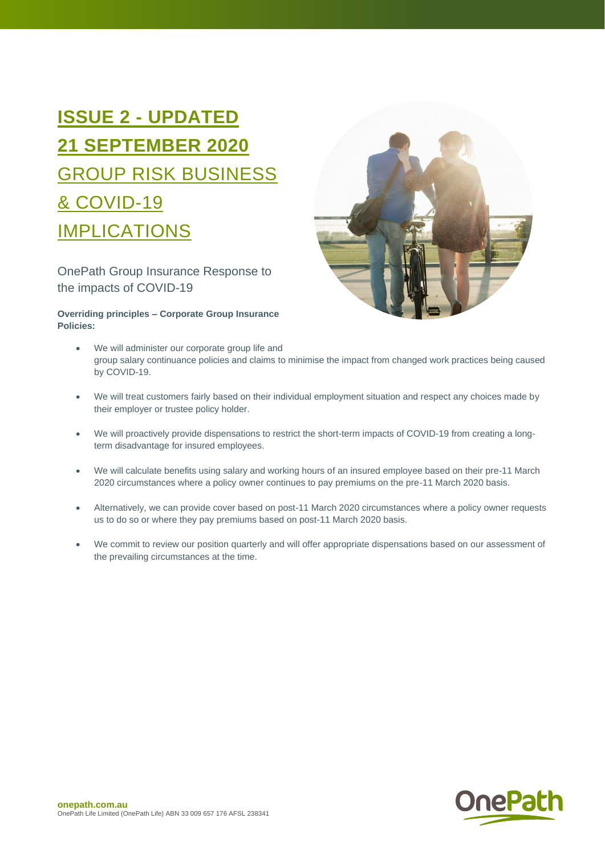# **ISSUE 2 - UPDATED 21 SEPTEMBER 2020** GROUP RISK BUSINESS & COVID-19 IMPLICATIONS

OnePath Group Insurance Response to the impacts of COVID-19

## **Overriding principles – Corporate Group Insurance Policies:**



- We will administer our corporate group life and group salary continuance policies and claims to minimise the impact from changed work practices being caused by COVID-19.
- We will treat customers fairly based on their individual employment situation and respect any choices made by their employer or trustee policy holder.
- We will proactively provide dispensations to restrict the short-term impacts of COVID-19 from creating a longterm disadvantage for insured employees.
- We will calculate benefits using salary and working hours of an insured employee based on their pre-11 March 2020 circumstances where a policy owner continues to pay premiums on the pre-11 March 2020 basis.
- Alternatively, we can provide cover based on post-11 March 2020 circumstances where a policy owner requests us to do so or where they pay premiums based on post-11 March 2020 basis.
- We commit to review our position quarterly and will offer appropriate dispensations based on our assessment of the prevailing circumstances at the time.

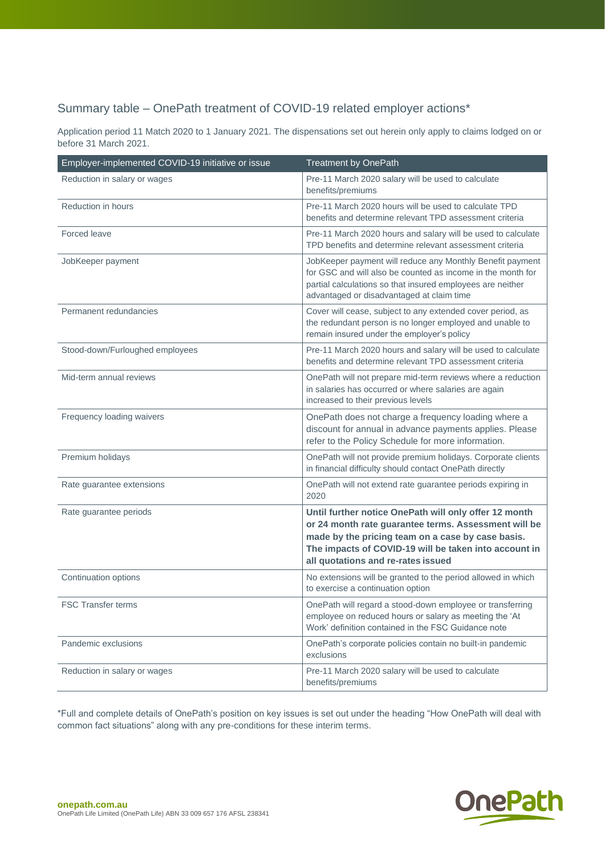# Summary table – OnePath treatment of COVID-19 related employer actions\*

Application period 11 Match 2020 to 1 January 2021. The dispensations set out herein only apply to claims lodged on or before 31 March 2021.

| Employer-implemented COVID-19 initiative or issue | <b>Treatment by OnePath</b>                                                                                                                                                                                                                                       |
|---------------------------------------------------|-------------------------------------------------------------------------------------------------------------------------------------------------------------------------------------------------------------------------------------------------------------------|
| Reduction in salary or wages                      | Pre-11 March 2020 salary will be used to calculate<br>benefits/premiums                                                                                                                                                                                           |
| Reduction in hours                                | Pre-11 March 2020 hours will be used to calculate TPD<br>benefits and determine relevant TPD assessment criteria                                                                                                                                                  |
| Forced leave                                      | Pre-11 March 2020 hours and salary will be used to calculate<br>TPD benefits and determine relevant assessment criteria                                                                                                                                           |
| JobKeeper payment                                 | JobKeeper payment will reduce any Monthly Benefit payment<br>for GSC and will also be counted as income in the month for<br>partial calculations so that insured employees are neither<br>advantaged or disadvantaged at claim time                               |
| Permanent redundancies                            | Cover will cease, subject to any extended cover period, as<br>the redundant person is no longer employed and unable to<br>remain insured under the employer's policy                                                                                              |
| Stood-down/Furloughed employees                   | Pre-11 March 2020 hours and salary will be used to calculate<br>benefits and determine relevant TPD assessment criteria                                                                                                                                           |
| Mid-term annual reviews                           | OnePath will not prepare mid-term reviews where a reduction<br>in salaries has occurred or where salaries are again<br>increased to their previous levels                                                                                                         |
| Frequency loading waivers                         | OnePath does not charge a frequency loading where a<br>discount for annual in advance payments applies. Please<br>refer to the Policy Schedule for more information.                                                                                              |
| Premium holidays                                  | OnePath will not provide premium holidays. Corporate clients<br>in financial difficulty should contact OnePath directly                                                                                                                                           |
| Rate guarantee extensions                         | OnePath will not extend rate guarantee periods expiring in<br>2020                                                                                                                                                                                                |
| Rate guarantee periods                            | Until further notice OnePath will only offer 12 month<br>or 24 month rate guarantee terms. Assessment will be<br>made by the pricing team on a case by case basis.<br>The impacts of COVID-19 will be taken into account in<br>all quotations and re-rates issued |
| Continuation options                              | No extensions will be granted to the period allowed in which<br>to exercise a continuation option                                                                                                                                                                 |
| <b>FSC Transfer terms</b>                         | OnePath will regard a stood-down employee or transferring<br>employee on reduced hours or salary as meeting the 'At<br>Work' definition contained in the FSC Guidance note                                                                                        |
| Pandemic exclusions                               | OnePath's corporate policies contain no built-in pandemic<br>exclusions                                                                                                                                                                                           |
| Reduction in salary or wages                      | Pre-11 March 2020 salary will be used to calculate<br>benefits/premiums                                                                                                                                                                                           |

\*Full and complete details of OnePath's position on key issues is set out under the heading "How OnePath will deal with common fact situations" along with any pre-conditions for these interim terms.

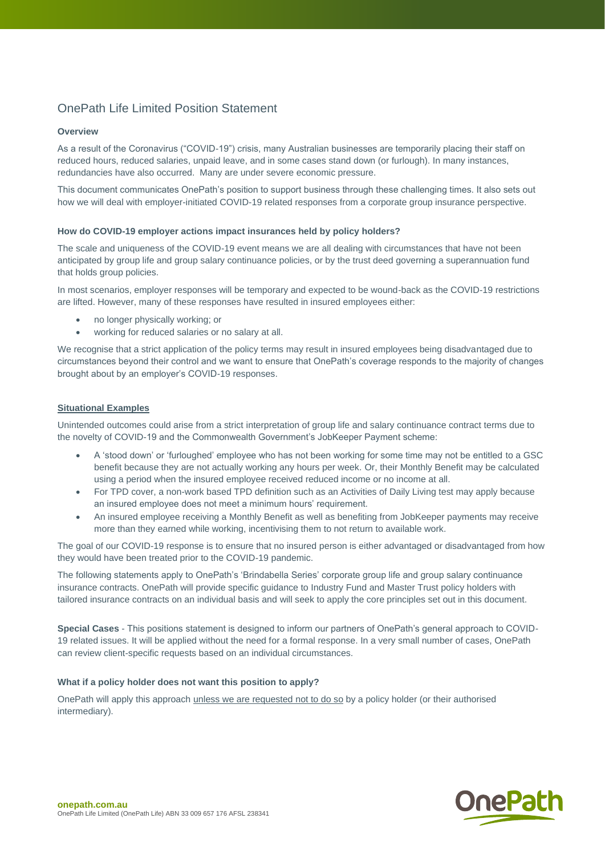# OnePath Life Limited Position Statement

## **Overview**

As a result of the Coronavirus ("COVID-19") crisis, many Australian businesses are temporarily placing their staff on reduced hours, reduced salaries, unpaid leave, and in some cases stand down (or furlough). In many instances, redundancies have also occurred. Many are under severe economic pressure.

This document communicates OnePath's position to support business through these challenging times. It also sets out how we will deal with employer-initiated COVID-19 related responses from a corporate group insurance perspective.

## **How do COVID-19 employer actions impact insurances held by policy holders?**

The scale and uniqueness of the COVID-19 event means we are all dealing with circumstances that have not been anticipated by group life and group salary continuance policies, or by the trust deed governing a superannuation fund that holds group policies.

In most scenarios, employer responses will be temporary and expected to be wound-back as the COVID-19 restrictions are lifted. However, many of these responses have resulted in insured employees either:

- no longer physically working; or
- working for reduced salaries or no salary at all.

We recognise that a strict application of the policy terms may result in insured employees being disadvantaged due to circumstances beyond their control and we want to ensure that OnePath's coverage responds to the majority of changes brought about by an employer's COVID-19 responses.

## **Situational Examples**

Unintended outcomes could arise from a strict interpretation of group life and salary continuance contract terms due to the novelty of COVID-19 and the Commonwealth Government's JobKeeper Payment scheme:

- A 'stood down' or 'furloughed' employee who has not been working for some time may not be entitled to a GSC benefit because they are not actually working any hours per week. Or, their Monthly Benefit may be calculated using a period when the insured employee received reduced income or no income at all.
- For TPD cover, a non-work based TPD definition such as an Activities of Daily Living test may apply because an insured employee does not meet a minimum hours' requirement.
- An insured employee receiving a Monthly Benefit as well as benefiting from JobKeeper payments may receive more than they earned while working, incentivising them to not return to available work.

The goal of our COVID-19 response is to ensure that no insured person is either advantaged or disadvantaged from how they would have been treated prior to the COVID-19 pandemic.

The following statements apply to OnePath's 'Brindabella Series' corporate group life and group salary continuance insurance contracts. OnePath will provide specific guidance to Industry Fund and Master Trust policy holders with tailored insurance contracts on an individual basis and will seek to apply the core principles set out in this document.

**Special Cases** - This positions statement is designed to inform our partners of OnePath's general approach to COVID-19 related issues. It will be applied without the need for a formal response. In a very small number of cases, OnePath can review client-specific requests based on an individual circumstances.

## **What if a policy holder does not want this position to apply?**

OnePath will apply this approach unless we are requested not to do so by a policy holder (or their authorised intermediary).

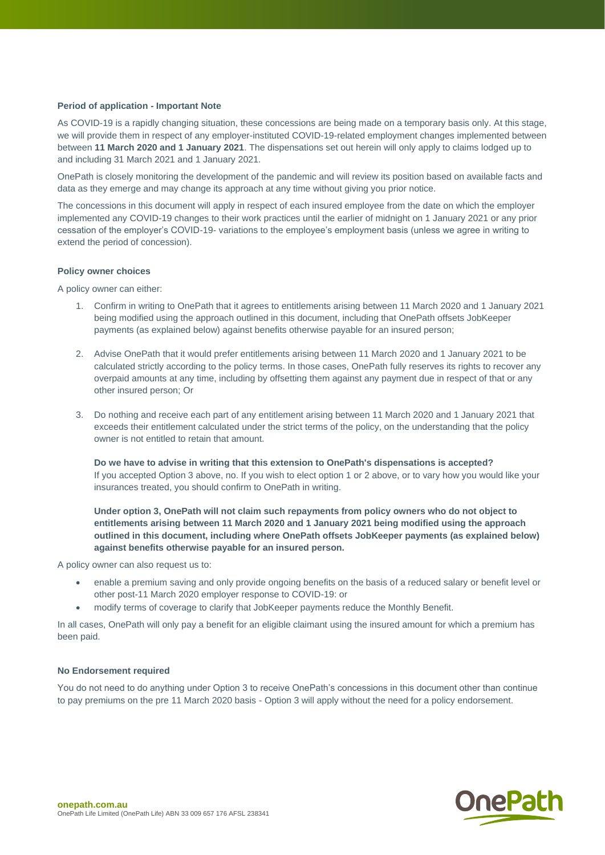## **Period of application - Important Note**

As COVID-19 is a rapidly changing situation, these concessions are being made on a temporary basis only. At this stage, we will provide them in respect of any employer-instituted COVID-19-related employment changes implemented between between **11 March 2020 and 1 January 2021**. The dispensations set out herein will only apply to claims lodged up to and including 31 March 2021 and 1 January 2021.

OnePath is closely monitoring the development of the pandemic and will review its position based on available facts and data as they emerge and may change its approach at any time without giving you prior notice.

The concessions in this document will apply in respect of each insured employee from the date on which the employer implemented any COVID-19 changes to their work practices until the earlier of midnight on 1 January 2021 or any prior cessation of the employer's COVID-19- variations to the employee's employment basis (unless we agree in writing to extend the period of concession).

#### **Policy owner choices**

A policy owner can either:

- 1. Confirm in writing to OnePath that it agrees to entitlements arising between 11 March 2020 and 1 January 2021 being modified using the approach outlined in this document, including that OnePath offsets JobKeeper payments (as explained below) against benefits otherwise payable for an insured person;
- 2. Advise OnePath that it would prefer entitlements arising between 11 March 2020 and 1 January 2021 to be calculated strictly according to the policy terms. In those cases, OnePath fully reserves its rights to recover any overpaid amounts at any time, including by offsetting them against any payment due in respect of that or any other insured person; Or
- 3. Do nothing and receive each part of any entitlement arising between 11 March 2020 and 1 January 2021 that exceeds their entitlement calculated under the strict terms of the policy, on the understanding that the policy owner is not entitled to retain that amount.

**Do we have to advise in writing that this extension to OnePath's dispensations is accepted?** If you accepted Option 3 above, no. If you wish to elect option 1 or 2 above, or to vary how you would like your insurances treated, you should confirm to OnePath in writing.

**Under option 3, OnePath will not claim such repayments from policy owners who do not object to entitlements arising between 11 March 2020 and 1 January 2021 being modified using the approach outlined in this document, including where OnePath offsets JobKeeper payments (as explained below) against benefits otherwise payable for an insured person.**

A policy owner can also request us to:

- enable a premium saving and only provide ongoing benefits on the basis of a reduced salary or benefit level or other post-11 March 2020 employer response to COVID-19: or
- modify terms of coverage to clarify that JobKeeper payments reduce the Monthly Benefit.

In all cases, OnePath will only pay a benefit for an eligible claimant using the insured amount for which a premium has been paid.

#### **No Endorsement required**

You do not need to do anything under Option 3 to receive OnePath's concessions in this document other than continue to pay premiums on the pre 11 March 2020 basis - Option 3 will apply without the need for a policy endorsement.

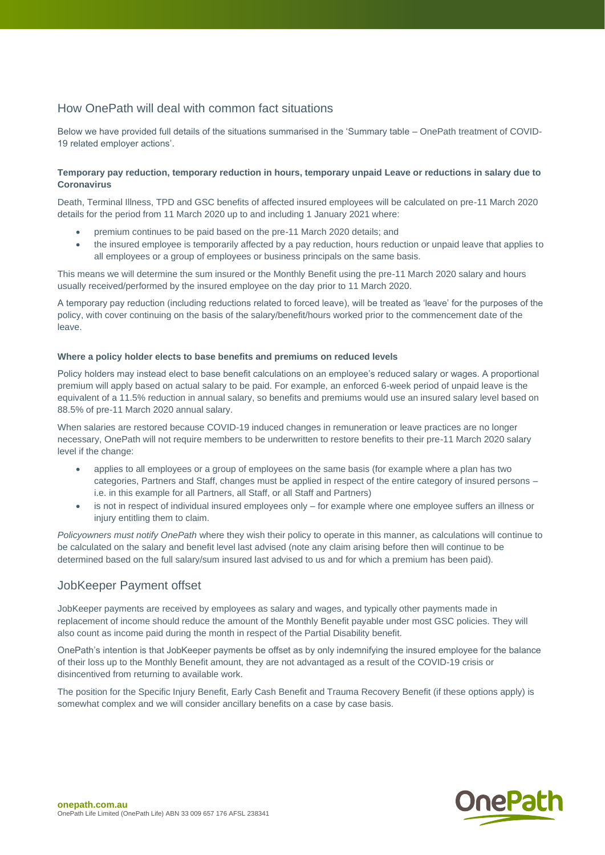# How OnePath will deal with common fact situations

Below we have provided full details of the situations summarised in the 'Summary table – OnePath treatment of COVID-19 related employer actions'.

## **Temporary pay reduction, temporary reduction in hours, temporary unpaid Leave or reductions in salary due to Coronavirus**

Death, Terminal Illness, TPD and GSC benefits of affected insured employees will be calculated on pre-11 March 2020 details for the period from 11 March 2020 up to and including 1 January 2021 where:

- premium continues to be paid based on the pre-11 March 2020 details; and
- the insured employee is temporarily affected by a pay reduction, hours reduction or unpaid leave that applies to all employees or a group of employees or business principals on the same basis.

This means we will determine the sum insured or the Monthly Benefit using the pre-11 March 2020 salary and hours usually received/performed by the insured employee on the day prior to 11 March 2020.

A temporary pay reduction (including reductions related to forced leave), will be treated as 'leave' for the purposes of the policy, with cover continuing on the basis of the salary/benefit/hours worked prior to the commencement date of the leave.

### **Where a policy holder elects to base benefits and premiums on reduced levels**

Policy holders may instead elect to base benefit calculations on an employee's reduced salary or wages. A proportional premium will apply based on actual salary to be paid. For example, an enforced 6-week period of unpaid leave is the equivalent of a 11.5% reduction in annual salary, so benefits and premiums would use an insured salary level based on 88.5% of pre-11 March 2020 annual salary.

When salaries are restored because COVID-19 induced changes in remuneration or leave practices are no longer necessary, OnePath will not require members to be underwritten to restore benefits to their pre-11 March 2020 salary level if the change:

- applies to all employees or a group of employees on the same basis (for example where a plan has two categories, Partners and Staff, changes must be applied in respect of the entire category of insured persons – i.e. in this example for all Partners, all Staff, or all Staff and Partners)
- is not in respect of individual insured employees only for example where one employee suffers an illness or injury entitling them to claim.

*Policyowners must notify OnePath* where they wish their policy to operate in this manner, as calculations will continue to be calculated on the salary and benefit level last advised (note any claim arising before then will continue to be determined based on the full salary/sum insured last advised to us and for which a premium has been paid).

## JobKeeper Payment offset

JobKeeper payments are received by employees as salary and wages, and typically other payments made in replacement of income should reduce the amount of the Monthly Benefit payable under most GSC policies. They will also count as income paid during the month in respect of the Partial Disability benefit.

OnePath's intention is that JobKeeper payments be offset as by only indemnifying the insured employee for the balance of their loss up to the Monthly Benefit amount, they are not advantaged as a result of the COVID-19 crisis or disincentived from returning to available work.

The position for the Specific Injury Benefit, Early Cash Benefit and Trauma Recovery Benefit (if these options apply) is somewhat complex and we will consider ancillary benefits on a case by case basis.

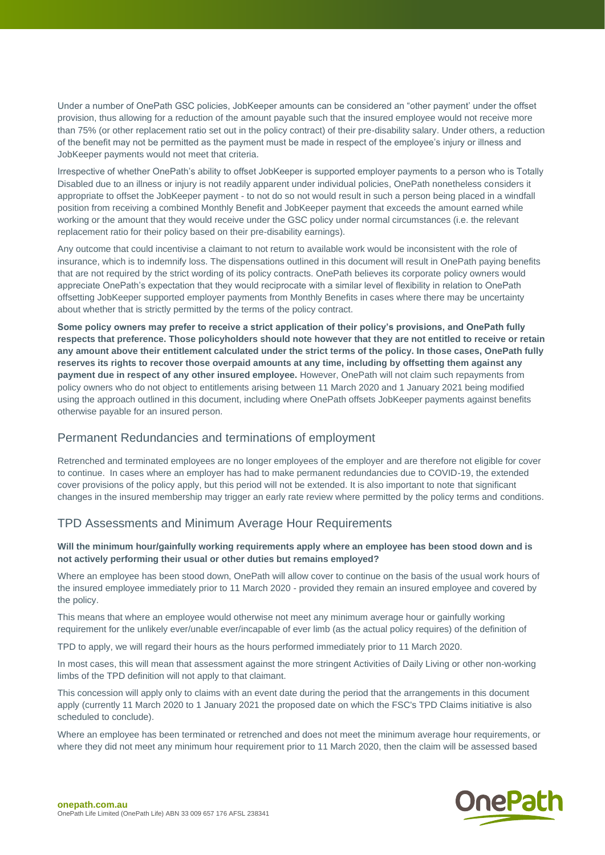Under a number of OnePath GSC policies, JobKeeper amounts can be considered an "other payment' under the offset provision, thus allowing for a reduction of the amount payable such that the insured employee would not receive more than 75% (or other replacement ratio set out in the policy contract) of their pre-disability salary. Under others, a reduction of the benefit may not be permitted as the payment must be made in respect of the employee's injury or illness and JobKeeper payments would not meet that criteria.

Irrespective of whether OnePath's ability to offset JobKeeper is supported employer payments to a person who is Totally Disabled due to an illness or injury is not readily apparent under individual policies, OnePath nonetheless considers it appropriate to offset the JobKeeper payment - to not do so not would result in such a person being placed in a windfall position from receiving a combined Monthly Benefit and JobKeeper payment that exceeds the amount earned while working or the amount that they would receive under the GSC policy under normal circumstances (i.e. the relevant replacement ratio for their policy based on their pre-disability earnings).

Any outcome that could incentivise a claimant to not return to available work would be inconsistent with the role of insurance, which is to indemnify loss. The dispensations outlined in this document will result in OnePath paying benefits that are not required by the strict wording of its policy contracts. OnePath believes its corporate policy owners would appreciate OnePath's expectation that they would reciprocate with a similar level of flexibility in relation to OnePath offsetting JobKeeper supported employer payments from Monthly Benefits in cases where there may be uncertainty about whether that is strictly permitted by the terms of the policy contract.

**Some policy owners may prefer to receive a strict application of their policy's provisions, and OnePath fully respects that preference. Those policyholders should note however that they are not entitled to receive or retain any amount above their entitlement calculated under the strict terms of the policy. In those cases, OnePath fully reserves its rights to recover those overpaid amounts at any time, including by offsetting them against any payment due in respect of any other insured employee.** However, OnePath will not claim such repayments from policy owners who do not object to entitlements arising between 11 March 2020 and 1 January 2021 being modified using the approach outlined in this document, including where OnePath offsets JobKeeper payments against benefits otherwise payable for an insured person.

## Permanent Redundancies and terminations of employment

Retrenched and terminated employees are no longer employees of the employer and are therefore not eligible for cover to continue. In cases where an employer has had to make permanent redundancies due to COVID-19, the extended cover provisions of the policy apply, but this period will not be extended. It is also important to note that significant changes in the insured membership may trigger an early rate review where permitted by the policy terms and conditions.

## TPD Assessments and Minimum Average Hour Requirements

### **Will the minimum hour/gainfully working requirements apply where an employee has been stood down and is not actively performing their usual or other duties but remains employed?**

Where an employee has been stood down, OnePath will allow cover to continue on the basis of the usual work hours of the insured employee immediately prior to 11 March 2020 - provided they remain an insured employee and covered by the policy.

This means that where an employee would otherwise not meet any minimum average hour or gainfully working requirement for the unlikely ever/unable ever/incapable of ever limb (as the actual policy requires) of the definition of

TPD to apply, we will regard their hours as the hours performed immediately prior to 11 March 2020.

In most cases, this will mean that assessment against the more stringent Activities of Daily Living or other non-working limbs of the TPD definition will not apply to that claimant.

This concession will apply only to claims with an event date during the period that the arrangements in this document apply (currently 11 March 2020 to 1 January 2021 the proposed date on which the FSC's TPD Claims initiative is also scheduled to conclude).

Where an employee has been terminated or retrenched and does not meet the minimum average hour requirements, or where they did not meet any minimum hour requirement prior to 11 March 2020, then the claim will be assessed based

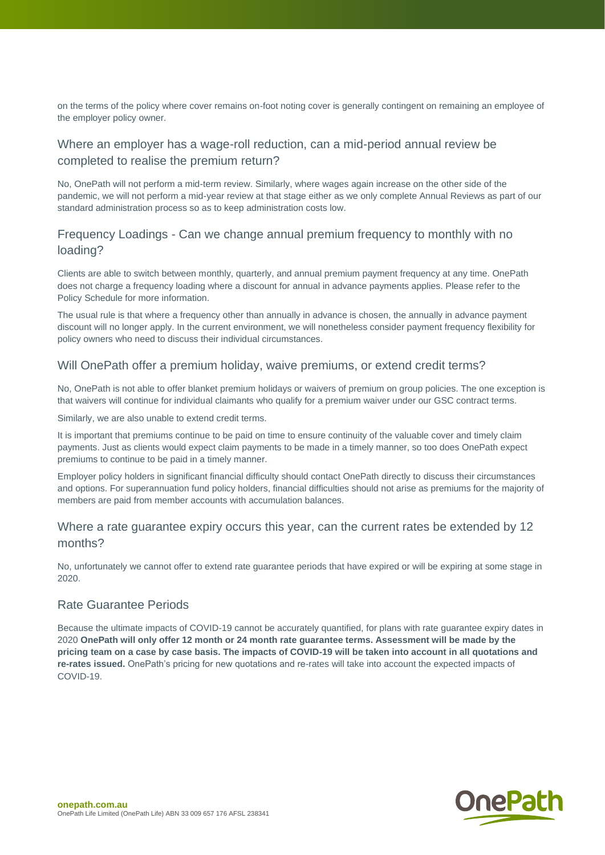on the terms of the policy where cover remains on-foot noting cover is generally contingent on remaining an employee of the employer policy owner.

# Where an employer has a wage-roll reduction, can a mid-period annual review be completed to realise the premium return?

No, OnePath will not perform a mid-term review. Similarly, where wages again increase on the other side of the pandemic, we will not perform a mid-year review at that stage either as we only complete Annual Reviews as part of our standard administration process so as to keep administration costs low.

# Frequency Loadings - Can we change annual premium frequency to monthly with no loading?

Clients are able to switch between monthly, quarterly, and annual premium payment frequency at any time. OnePath does not charge a frequency loading where a discount for annual in advance payments applies. Please refer to the Policy Schedule for more information.

The usual rule is that where a frequency other than annually in advance is chosen, the annually in advance payment discount will no longer apply. In the current environment, we will nonetheless consider payment frequency flexibility for policy owners who need to discuss their individual circumstances.

## Will OnePath offer a premium holiday, waive premiums, or extend credit terms?

No, OnePath is not able to offer blanket premium holidays or waivers of premium on group policies. The one exception is that waivers will continue for individual claimants who qualify for a premium waiver under our GSC contract terms.

Similarly, we are also unable to extend credit terms.

It is important that premiums continue to be paid on time to ensure continuity of the valuable cover and timely claim payments. Just as clients would expect claim payments to be made in a timely manner, so too does OnePath expect premiums to continue to be paid in a timely manner.

Employer policy holders in significant financial difficulty should contact OnePath directly to discuss their circumstances and options. For superannuation fund policy holders, financial difficulties should not arise as premiums for the majority of members are paid from member accounts with accumulation balances.

# Where a rate guarantee expiry occurs this year, can the current rates be extended by 12 months?

No, unfortunately we cannot offer to extend rate guarantee periods that have expired or will be expiring at some stage in 2020.

## Rate Guarantee Periods

Because the ultimate impacts of COVID-19 cannot be accurately quantified, for plans with rate guarantee expiry dates in 2020 **OnePath will only offer 12 month or 24 month rate guarantee terms. Assessment will be made by the pricing team on a case by case basis. The impacts of COVID-19 will be taken into account in all quotations and re-rates issued.** OnePath's pricing for new quotations and re-rates will take into account the expected impacts of COVID-19.

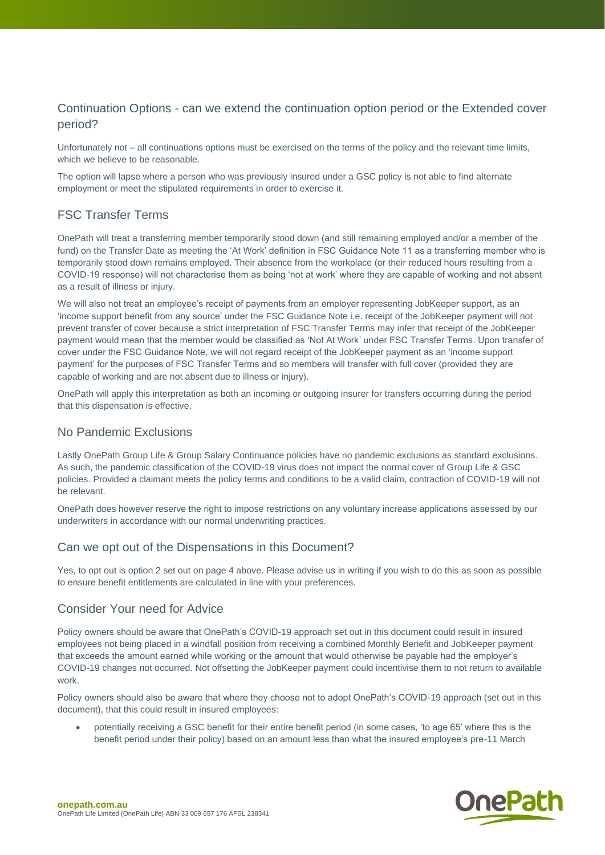# Continuation Options - can we extend the continuation option period or the Extended cover period?

Unfortunately not – all continuations options must be exercised on the terms of the policy and the relevant time limits, which we believe to be reasonable.

The option will lapse where a person who was previously insured under a GSC policy is not able to find alternate employment or meet the stipulated requirements in order to exercise it.

# FSC Transfer Terms

OnePath will treat a transferring member temporarily stood down (and still remaining employed and/or a member of the fund) on the Transfer Date as meeting the 'At Work' definition in FSC Guidance Note 11 as a transferring member who is temporarily stood down remains employed. Their absence from the workplace (or their reduced hours resulting from a COVID-19 response) will not characterise them as being 'not at work' where they are capable of working and not absent as a result of illness or injury.

We will also not treat an employee's receipt of payments from an employer representing JobKeeper support, as an 'income support benefit from any source' under the FSC Guidance Note i.e. receipt of the JobKeeper payment will not prevent transfer of cover because a strict interpretation of FSC Transfer Terms may infer that receipt of the JobKeeper payment would mean that the member would be classified as 'Not At Work' under FSC Transfer Terms. Upon transfer of cover under the FSC Guidance Note, we will not regard receipt of the JobKeeper payment as an 'income support payment' for the purposes of FSC Transfer Terms and so members will transfer with full cover (provided they are capable of working and are not absent due to illness or injury).

OnePath will apply this interpretation as both an incoming or outgoing insurer for transfers occurring during the period that this dispensation is effective.

# No Pandemic Exclusions

Lastly OnePath Group Life & Group Salary Continuance policies have no pandemic exclusions as standard exclusions. As such, the pandemic classification of the COVID-19 virus does not impact the normal cover of Group Life & GSC policies. Provided a claimant meets the policy terms and conditions to be a valid claim, contraction of COVID-19 will not be relevant.

OnePath does however reserve the right to impose restrictions on any voluntary increase applications assessed by our underwriters in accordance with our normal underwriting practices.

## Can we opt out of the Dispensations in this Document?

Yes, to opt out is option 2 set out on page 4 above. Please advise us in writing if you wish to do this as soon as possible to ensure benefit entitlements are calculated in line with your preferences.

# Consider Your need for Advice

Policy owners should be aware that OnePath's COVID-19 approach set out in this document could result in insured employees not being placed in a windfall position from receiving a combined Monthly Benefit and JobKeeper payment that exceeds the amount earned while working or the amount that would otherwise be payable had the employer's COVID-19 changes not occurred. Not offsetting the JobKeeper payment could incentivise them to not return to available work.

Policy owners should also be aware that where they choose not to adopt OnePath's COVID-19 approach (set out in this document), that this could result in insured employees:

• potentially receiving a GSC benefit for their entire benefit period (in some cases, 'to age 65' where this is the benefit period under their policy) based on an amount less than what the insured employee's pre-11 March